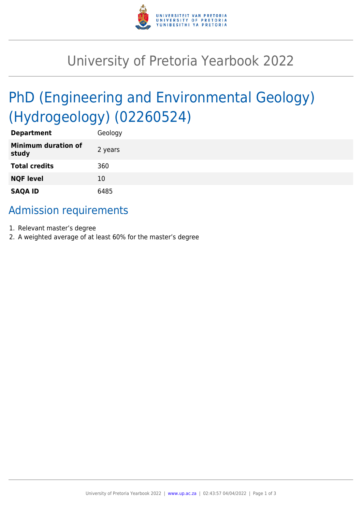

# University of Pretoria Yearbook 2022

# PhD (Engineering and Environmental Geology) (Hydrogeology) (02260524)

| <b>Department</b>                   | Geology |
|-------------------------------------|---------|
| <b>Minimum duration of</b><br>study | 2 years |
| <b>Total credits</b>                | 360     |
| <b>NQF level</b>                    | 10      |
| <b>SAQA ID</b>                      | 6485    |

## Admission requirements

- 1. Relevant master's degree
- 2. A weighted average of at least 60% for the master's degree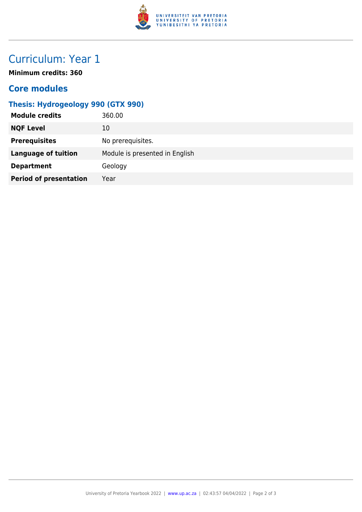

## Curriculum: Year 1

**Minimum credits: 360**

#### **Core modules**

### **Thesis: Hydrogeology 990 (GTX 990)**

| 360.00                         |
|--------------------------------|
| 10                             |
| No prerequisites.              |
| Module is presented in English |
| Geology                        |
| Year                           |
|                                |